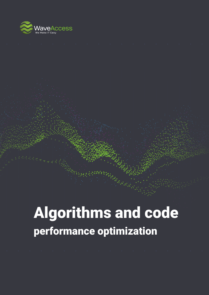

## Algorithms and code performance optimization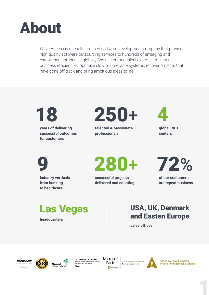

Wave Access is a results focused software development company that provides high quality software outsourcing services to hundreds of emerging and established companies globally. We use our technical expertise to increase business efficiencies, optimize slow or unreliable systems, recover projects that have gone off track and bring ambitious ideas to life.

18

**years of delivering successful outcomes for customers**



**talented & passionate professionals**



**global R&D centers**

9

**industry verticals from banking to healthcare**



**successful projects delivered and counting**



**of our customers are repeat business**

**headquarters**

### Las Vegas USA, UK, Denmark and Easten Europe

**sales offices**





**2011 PARTNER OF THE YEAR** Microsoft Dynamics Professional Servic<br>CRM4Legal for Client Profiles Winner



2017 Partner of the Year Win **Business Analytics Award** 



**Academy Award-winning** Mocha for Imagineer Systems

1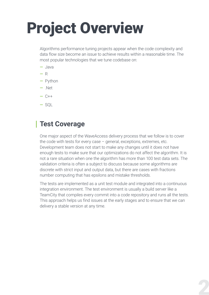# Project Overview

Algorithms performance tuning projects appear when the code complexity and data flow size become an issue to achieve results within a reasonable time. The most popular technologies that we tune codebase on:

- Java
- R
- Python
- .Net
- $C++$
- SQL

### **Test Coverage**

One major aspect of the WaveAccess delivery process that we follow is to cover the code with tests for every case – general, exceptions, extremes, etc. Development team does not start to make any changes until it does not have enough tests to make sure that our optimizations do not affect the algorithm. It is not a rare situation when one the algorithm has more than 100 test data sets. The validation criteria is often a subject to discuss because some algorithms are discrete with strict input and output data, but there are cases with fractions number computing that has epsilons and mistake thresholds.

The tests are implemented as a unit test module and integrated into a continuous integration environment. The test environment is usually a build server like a TeamCity that compiles every commit into a code repository and runs all the tests. This approach helps us find issues at the early stages and to ensure that we can delivery a stable version at any time.

2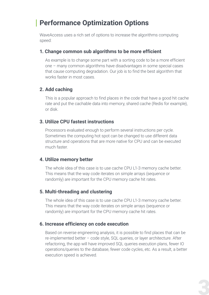## **Performance Optimization Options**

WaveAccess uses a rich set of options to increase the algorithms computing speed:

#### **1. Change common sub algorithms to be more efficient**

As example is to change some part with a sorting code to be a more efficient one – many common algorithms have disadvantages in some special cases that cause computing degradation. Our job is to find the best algorithm that works faster in most cases.

#### **2. Add caching**

This is a popular approach to find places in the code that have a good hit cache rate and put the cachable data into memory, shared cache (Redis for example), or disk.

#### **3. Utilize CPU fastest instructions**

Processors evaluated enough to perform several instructions per cycle. Sometimes the computing hot spot can be changed to use different data structure and operations that are more native for CPU and can be executed much faster.

#### **4. Utilize memory better**

The whole idea of this case is to use cache CPU L1-3 memory cache better. This means that the way code iterates on simple arrays (sequence or randomly) are important for the CPU memory cache hit rates.

#### **5. Multi-threading and clustering**

The whole idea of this case is to use cache CPU L1-3 memory cache better. This means that the way code iterates on simple arrays (sequence or randomly) are important for the CPU memory cache hit rates.

#### **6. Increase efficiency on code execution**

Based on reverse engineering analysis, it is possible to find places that can be re-implemented better – code style, SQL queries, or layer architecture. After refactoring, the app will have improved SQL queries execution plans, fewer IO operations/queries to the database, fewer code cycles, etc. As a result, a better execution speed is achieved.

3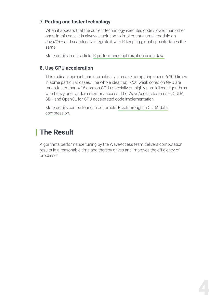#### **7. Porting one faster technology**

When it appears that the current technology executes code slower than other ones, in this case it is always a solution to implement a small module on Java/C++ and seamlessly integrate it with R keeping global app interfaces the same.

More details in our article: [R performance optimization using Java.](http://www.wave-access.com/public_en/blog/2015/april/21/r-optimizations.aspx)

#### **8. Use GPU acceleration**

This radical approach can dramatically increase computing speed 6-100 times in some particular cases. The whole idea that >200 weak cores on GPU are much faster than 4-16 core on CPU especially on highly parallelized algorithms with heavy and random memory access. The WaveAccess team uses CUDA SDK and OpenCL for GPU accelerated code implementation.

[More details can be found in our article: Breakthrough in CUDA data](http://www.wave-access.com/public_en/blog/2011/april/22/breakthrough-in-cuda-data-compression.aspx)  compression.

## **The Result**

Algorithms performance tuning by the WaveAccess team delivers computation results in a reasonable time and thereby drives and improves the efficiency of processes.